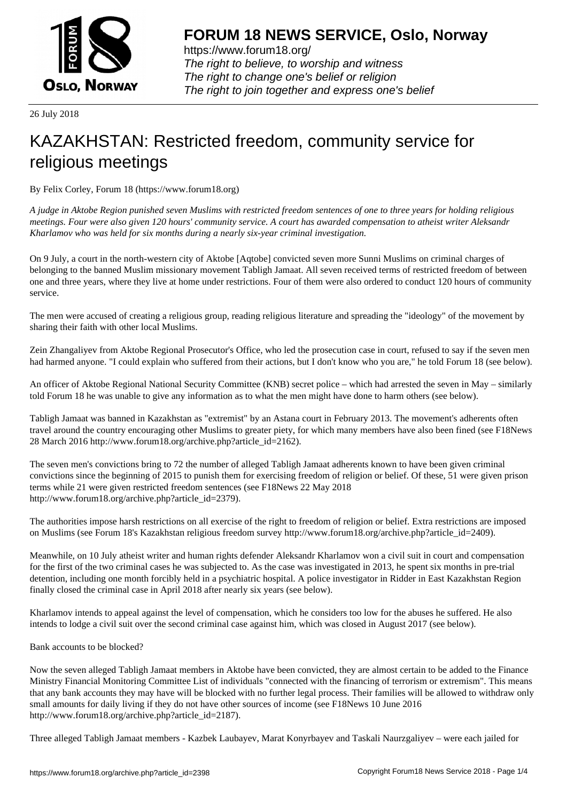

https://www.forum18.org/ The right to believe, to worship and witness The right to change one's belief or religion [The right to join together a](https://www.forum18.org/)nd express one's belief

26 July 2018

## [KAZAKHSTAN:](https://www.forum18.org) Restricted freedom, community service for religious meetings

By Felix Corley, Forum 18 (https://www.forum18.org)

*A judge in Aktobe Region punished seven Muslims with restricted freedom sentences of one to three years for holding religious meetings. Four were also given 120 hours' community service. A court has awarded compensation to atheist writer Aleksandr Kharlamov who was held for six months during a nearly six-year criminal investigation.*

On 9 July, a court in the north-western city of Aktobe [Aqtobe] convicted seven more Sunni Muslims on criminal charges of belonging to the banned Muslim missionary movement Tabligh Jamaat. All seven received terms of restricted freedom of between one and three years, where they live at home under restrictions. Four of them were also ordered to conduct 120 hours of community service.

The men were accused of creating a religious group, reading religious literature and spreading the "ideology" of the movement by sharing their faith with other local Muslims.

Zein Zhangaliyev from Aktobe Regional Prosecutor's Office, who led the prosecution case in court, refused to say if the seven men had harmed anyone. "I could explain who suffered from their actions, but I don't know who you are," he told Forum 18 (see below).

An officer of Aktobe Regional National Security Committee (KNB) secret police – which had arrested the seven in May – similarly told Forum 18 he was unable to give any information as to what the men might have done to harm others (see below).

Tabligh Jamaat was banned in Kazakhstan as "extremist" by an Astana court in February 2013. The movement's adherents often travel around the country encouraging other Muslims to greater piety, for which many members have also been fined (see F18News 28 March 2016 http://www.forum18.org/archive.php?article\_id=2162).

The seven men's convictions bring to 72 the number of alleged Tabligh Jamaat adherents known to have been given criminal convictions since the beginning of 2015 to punish them for exercising freedom of religion or belief. Of these, 51 were given prison terms while 21 were given restricted freedom sentences (see F18News 22 May 2018 http://www.forum18.org/archive.php?article\_id=2379).

The authorities impose harsh restrictions on all exercise of the right to freedom of religion or belief. Extra restrictions are imposed on Muslims (see Forum 18's Kazakhstan religious freedom survey http://www.forum18.org/archive.php?article\_id=2409).

Meanwhile, on 10 July atheist writer and human rights defender Aleksandr Kharlamov won a civil suit in court and compensation for the first of the two criminal cases he was subjected to. As the case was investigated in 2013, he spent six months in pre-trial detention, including one month forcibly held in a psychiatric hospital. A police investigator in Ridder in East Kazakhstan Region finally closed the criminal case in April 2018 after nearly six years (see below).

Kharlamov intends to appeal against the level of compensation, which he considers too low for the abuses he suffered. He also intends to lodge a civil suit over the second criminal case against him, which was closed in August 2017 (see below).

Bank accounts to be blocked?

Now the seven alleged Tabligh Jamaat members in Aktobe have been convicted, they are almost certain to be added to the Finance Ministry Financial Monitoring Committee List of individuals "connected with the financing of terrorism or extremism". This means that any bank accounts they may have will be blocked with no further legal process. Their families will be allowed to withdraw only small amounts for daily living if they do not have other sources of income (see F18News 10 June 2016 http://www.forum18.org/archive.php?article\_id=2187).

Three alleged Tabligh Jamaat members - Kazbek Laubayev, Marat Konyrbayev and Taskali Naurzgaliyev – were each jailed for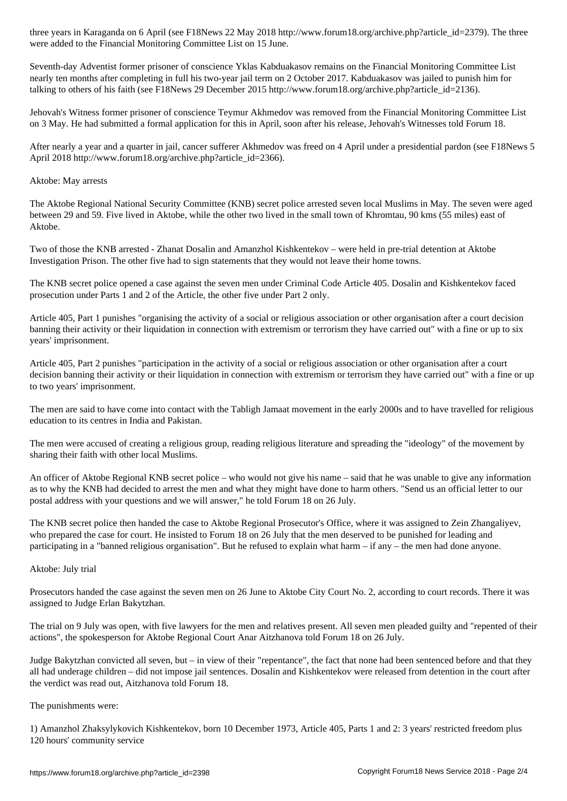Seventh-day Adventist former prisoner of conscience Yklas Kabduakasov remains on the Financial Monitoring Committee List nearly ten months after completing in full his two-year jail term on 2 October 2017. Kabduakasov was jailed to punish him for talking to others of his faith (see F18News 29 December 2015 http://www.forum18.org/archive.php?article\_id=2136).

Jehovah's Witness former prisoner of conscience Teymur Akhmedov was removed from the Financial Monitoring Committee List on 3 May. He had submitted a formal application for this in April, soon after his release, Jehovah's Witnesses told Forum 18.

After nearly a year and a quarter in jail, cancer sufferer Akhmedov was freed on 4 April under a presidential pardon (see F18News 5 April 2018 http://www.forum18.org/archive.php?article\_id=2366).

## Aktobe: May arrests

were added to the Financial Monitoring  $\omega$ 

The Aktobe Regional National Security Committee (KNB) secret police arrested seven local Muslims in May. The seven were aged between 29 and 59. Five lived in Aktobe, while the other two lived in the small town of Khromtau, 90 kms (55 miles) east of Aktobe.

Two of those the KNB arrested - Zhanat Dosalin and Amanzhol Kishkentekov – were held in pre-trial detention at Aktobe Investigation Prison. The other five had to sign statements that they would not leave their home towns.

The KNB secret police opened a case against the seven men under Criminal Code Article 405. Dosalin and Kishkentekov faced prosecution under Parts 1 and 2 of the Article, the other five under Part 2 only.

Article 405, Part 1 punishes "organising the activity of a social or religious association or other organisation after a court decision banning their activity or their liquidation in connection with extremism or terrorism they have carried out" with a fine or up to six years' imprisonment.

Article 405, Part 2 punishes "participation in the activity of a social or religious association or other organisation after a court decision banning their activity or their liquidation in connection with extremism or terrorism they have carried out" with a fine or up to two years' imprisonment.

The men are said to have come into contact with the Tabligh Jamaat movement in the early 2000s and to have travelled for religious education to its centres in India and Pakistan.

The men were accused of creating a religious group, reading religious literature and spreading the "ideology" of the movement by sharing their faith with other local Muslims.

An officer of Aktobe Regional KNB secret police – who would not give his name – said that he was unable to give any information as to why the KNB had decided to arrest the men and what they might have done to harm others. "Send us an official letter to our postal address with your questions and we will answer," he told Forum 18 on 26 July.

The KNB secret police then handed the case to Aktobe Regional Prosecutor's Office, where it was assigned to Zein Zhangaliyev, who prepared the case for court. He insisted to Forum 18 on 26 July that the men deserved to be punished for leading and participating in a "banned religious organisation". But he refused to explain what harm – if any – the men had done anyone.

## Aktobe: July trial

Prosecutors handed the case against the seven men on 26 June to Aktobe City Court No. 2, according to court records. There it was assigned to Judge Erlan Bakytzhan.

The trial on 9 July was open, with five lawyers for the men and relatives present. All seven men pleaded guilty and "repented of their actions", the spokesperson for Aktobe Regional Court Anar Aitzhanova told Forum 18 on 26 July.

Judge Bakytzhan convicted all seven, but – in view of their "repentance", the fact that none had been sentenced before and that they all had underage children – did not impose jail sentences. Dosalin and Kishkentekov were released from detention in the court after the verdict was read out, Aitzhanova told Forum 18.

## The punishments were:

1) Amanzhol Zhaksylykovich Kishkentekov, born 10 December 1973, Article 405, Parts 1 and 2: 3 years' restricted freedom plus 120 hours' community service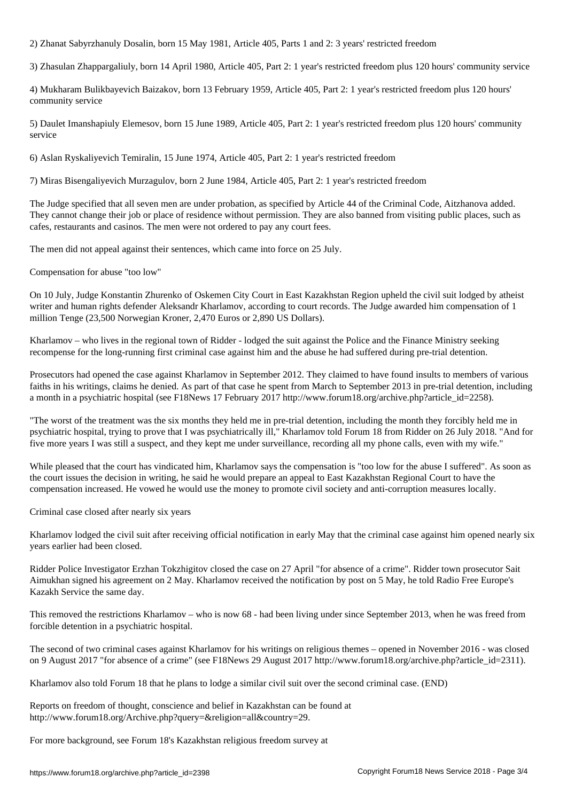2) Zhanat Sabyrzhanuly Dosalin, born 15 May 1981, Article 405, Parts 1 and 2: 3 years' restricted freedom

3) Zhasulan Zhappargaliuly, born 14 April 1980, Article 405, Part 2: 1 year's restricted freedom plus 120 hours' community service

4) Mukharam Bulikbayevich Baizakov, born 13 February 1959, Article 405, Part 2: 1 year's restricted freedom plus 120 hours' community service

5) Daulet Imanshapiuly Elemesov, born 15 June 1989, Article 405, Part 2: 1 year's restricted freedom plus 120 hours' community service

6) Aslan Ryskaliyevich Temiralin, 15 June 1974, Article 405, Part 2: 1 year's restricted freedom

7) Miras Bisengaliyevich Murzagulov, born 2 June 1984, Article 405, Part 2: 1 year's restricted freedom

The Judge specified that all seven men are under probation, as specified by Article 44 of the Criminal Code, Aitzhanova added. They cannot change their job or place of residence without permission. They are also banned from visiting public places, such as cafes, restaurants and casinos. The men were not ordered to pay any court fees.

The men did not appeal against their sentences, which came into force on 25 July.

Compensation for abuse "too low"

On 10 July, Judge Konstantin Zhurenko of Oskemen City Court in East Kazakhstan Region upheld the civil suit lodged by atheist writer and human rights defender Aleksandr Kharlamov, according to court records. The Judge awarded him compensation of 1 million Tenge (23,500 Norwegian Kroner, 2,470 Euros or 2,890 US Dollars).

Kharlamov – who lives in the regional town of Ridder - lodged the suit against the Police and the Finance Ministry seeking recompense for the long-running first criminal case against him and the abuse he had suffered during pre-trial detention.

Prosecutors had opened the case against Kharlamov in September 2012. They claimed to have found insults to members of various faiths in his writings, claims he denied. As part of that case he spent from March to September 2013 in pre-trial detention, including a month in a psychiatric hospital (see F18News 17 February 2017 http://www.forum18.org/archive.php?article\_id=2258).

"The worst of the treatment was the six months they held me in pre-trial detention, including the month they forcibly held me in psychiatric hospital, trying to prove that I was psychiatrically ill," Kharlamov told Forum 18 from Ridder on 26 July 2018. "And for five more years I was still a suspect, and they kept me under surveillance, recording all my phone calls, even with my wife."

While pleased that the court has vindicated him, Kharlamov says the compensation is "too low for the abuse I suffered". As soon as the court issues the decision in writing, he said he would prepare an appeal to East Kazakhstan Regional Court to have the compensation increased. He vowed he would use the money to promote civil society and anti-corruption measures locally.

Criminal case closed after nearly six years

Kharlamov lodged the civil suit after receiving official notification in early May that the criminal case against him opened nearly six years earlier had been closed.

Ridder Police Investigator Erzhan Tokzhigitov closed the case on 27 April "for absence of a crime". Ridder town prosecutor Sait Aimukhan signed his agreement on 2 May. Kharlamov received the notification by post on 5 May, he told Radio Free Europe's Kazakh Service the same day.

This removed the restrictions Kharlamov – who is now 68 - had been living under since September 2013, when he was freed from forcible detention in a psychiatric hospital.

The second of two criminal cases against Kharlamov for his writings on religious themes – opened in November 2016 - was closed on 9 August 2017 "for absence of a crime" (see F18News 29 August 2017 http://www.forum18.org/archive.php?article\_id=2311).

Kharlamov also told Forum 18 that he plans to lodge a similar civil suit over the second criminal case. (END)

Reports on freedom of thought, conscience and belief in Kazakhstan can be found at http://www.forum18.org/Archive.php?query=&religion=all&country=29.

For more background, see Forum 18's Kazakhstan religious freedom survey at